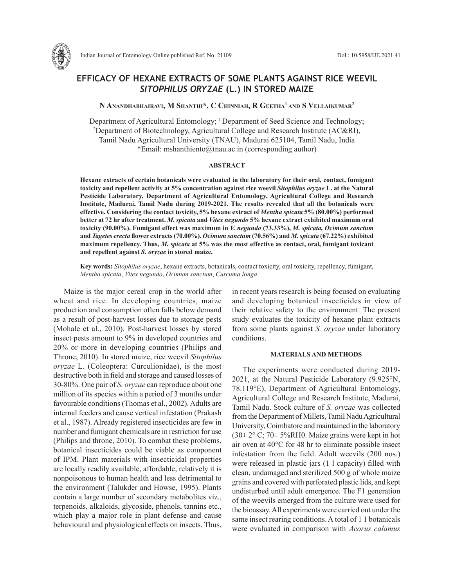

# **EFFICACY OF HEXANE EXTRACTS OF SOME PLANTS AGAINST RICE WEEVIL**  *SITOPHILUS ORYZAE* **(L.) IN STORED MAIZE**

**N Anandhabhairavi, M Shanthi\*, C Chinniah, R Geetha1 and S Vellaikumar2**

Department of Agricultural Entomology; <sup>1</sup> Department of Seed Science and Technology; Department of Biotechnology, Agricultural College and Research Institute (AC&RI), Tamil Nadu Agricultural University (TNAU), Madurai 625104, Tamil Nadu, India \*Email: mshanthiento@tnau.ac.in (corresponding author)

#### **ABSTRACT**

**Hexane extracts of certain botanicals were evaluated in the laboratory for their oral, contact, fumigant toxicity and repellent activity at 5% concentration against rice weevil** *Sitophilus oryzae* **L. at the Natural Pesticide Laboratory, Department of Agricultural Entomology, Agricultural College and Research Institute, Madurai, Tamil Nadu during 2019-2021. The results revealed that all the botanicals were effective. Considering the contact toxicity, 5% hexane extract of** *Mentha spicata* **5% (80.00%) performed better at 72 hr after treatment.** *M. spicata* **and** *Vitex negundo* **5% hexane extract exhibited maximum oral toxicity (90.00%). Fumigant effect was maximum in** *V. negundo* **(73.33%),** *M. spicata, Ocimum sanctum* **and** *Tagetes erecta* **flower extracts (70.00%).** *Ocimum sanctum* **(70.56%) and** *M. spicata* **(67.22%) exhibited maximum repellency. Thus,** *M. spicata* **at 5% was the most effective as contact, oral, fumigant toxicant and repellent against** *S. oryzae* **in stored maize.** 

**Key words:** *Sitophilus oryzae*, hexane extracts, botanicals, contact toxicity, oral toxicity, repellency, fumigant, *Mentha spicata*, *Vitex negundo*, *Ocimum sanctum*, *Curcuma longa*.

Maize is the major cereal crop in the world after wheat and rice. In developing countries, maize production and consumption often falls below demand as a result of post-harvest losses due to storage pests (Mohale et al., 2010). Post-harvest losses by stored insect pests amount to 9% in developed countries and 20% or more in developing countries (Philips and Throne, 2010). In stored maize, rice weevil *Sitophilus oryzae* L. (Coleoptera: Curculionidae), is the most destructive both in field and storage and caused losses of 30-80%. One pair of *S. oryzae* can reproduce about one million of its species within a period of 3 months under favourable conditions (Thomas et al., 2002). Adults are internal feeders and cause vertical infestation (Prakash et al., 1987). Already registered insecticides are few in number and fumigant chemicals are in restriction for use (Philips and throne, 2010). To combat these problems, botanical insecticides could be viable as component of IPM. Plant materials with insecticidal properties are locally readily available, affordable, relatively it is nonpoisonous to human health and less detrimental to the environment (Talukder and Howse, 1995). Plants contain a large number of secondary metabolites viz., terpenoids, alkaloids, glycoside, phenols, tannins etc., which play a major role in plant defense and cause behavioural and physiological effects on insects. Thus, in recent years research is being focused on evaluating and developing botanical insecticides in view of their relative safety to the environment. The present study evaluates the toxicity of hexane plant extracts from some plants against *S. oryzae* under laboratory conditions.

## **MATERIALS AND METHODS**

The experiments were conducted during 2019- 2021, at the Natural Pesticide Laboratory (9.925°N, 78.119°E), Department of Agricultural Entomology, Agricultural College and Research Institute, Madurai, Tamil Nadu. Stock culture of *S. oryzae* was collected from the Department of Millets, Tamil Nadu Agricultural University, Coimbatore and maintained in the laboratory  $(30\pm 2^{\circ} \text{C}; 70\pm 5\% \text{R}H0)$ . Maize grains were kept in hot air oven at 40°C for 48 hr to eliminate possible insect infestation from the field. Adult weevils (200 nos.) were released in plastic jars (1 l capacity) filled with clean, undamaged and sterilized 500 g of whole maize grains and covered with perforated plastic lids, and kept undisturbed until adult emergence. The F1 generation of the weevils emerged from the culture were used for the bioassay. All experiments were carried out under the same insect rearing conditions. A total of 1 1 botanicals were evaluated in comparison with *Acorus calamus*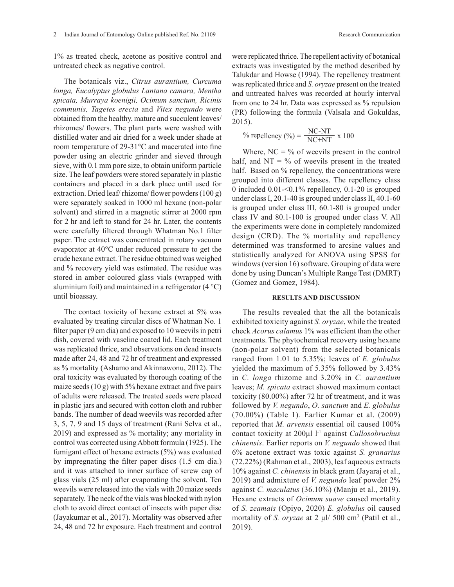1% as treated check, acetone as positive control and untreated check as negative control.

The botanicals viz., *Citrus aurantium, Curcuma longa, Eucalyptus globulus Lantana camara, Mentha spicata, Murraya koenigii, Ocimum sanctum, Ricinis communis, Tagetes erecta* and *Vitex negundo* were obtained from the healthy, mature and succulent leaves/ rhizomes/ flowers. The plant parts were washed with distilled water and air dried for a week under shade at room temperature of 29-31°C and macerated into fine powder using an electric grinder and sieved through sieve, with 0.1 mm pore size, to obtain uniform particle size. The leaf powders were stored separately in plastic containers and placed in a dark place until used for extraction. Dried leaf/ rhizome/ flower powders (100 g) were separately soaked in 1000 ml hexane (non-polar solvent) and stirred in a magnetic stirrer at 2000 rpm for 2 hr and left to stand for 24 hr. Later, the contents were carefully filtered through Whatman No.1 filter paper. The extract was concentrated in rotary vacuum evaporator at 40°C under reduced pressure to get the crude hexane extract. The residue obtained was weighed and % recovery yield was estimated. The residue was stored in amber coloured glass vials (wrapped with aluminium foil) and maintained in a refrigerator  $(4^{\circ}C)$ until bioassay.

The contact toxicity of hexane extract at 5% was evaluated by treating circular discs of Whatman No. 1 filter paper (9 cm dia) and exposed to 10 weevils in petri dish, covered with vaseline coated lid. Each treatment was replicated thrice, and observations on dead insects made after 24, 48 and 72 hr of treatment and expressed as % mortality (Ashamo and Akinnawonu, 2012). The oral toxicity was evaluated by thorough coating of the maize seeds (10 g) with 5% hexane extract and five pairs of adults were released. The treated seeds were placed in plastic jars and secured with cotton cloth and rubber bands. The number of dead weevils was recorded after 3, 5, 7, 9 and 15 days of treatment (Rani Selva et al., 2019) and expressed as % mortality; any mortality in control was corrected using Abbott formula (1925). The fumigant effect of hexane extracts (5%) was evaluated by impregnating the filter paper discs (1.5 cm dia.) and it was attached to inner surface of screw cap of glass vials (25 ml) after evaporating the solvent. Ten weevils were released into the vials with 20 maize seeds separately. The neck of the vials was blocked with nylon cloth to avoid direct contact of insects with paper disc (Jayakumar et al., 2017). Mortality was observed after 24, 48 and 72 hr exposure. Each treatment and control

were replicated thrice. The repellent activity of botanical extracts was investigated by the method described by Talukdar and Howse (1994). The repellency treatment was replicated thrice and *S. oryzae* present on the treated and untreated halves was recorded at hourly interval from one to 24 hr. Data was expressed as % repulsion (PR) following the formula (Valsala and Gokuldas, 2015).

% repellency (%) = 
$$
\frac{NC-NT}{NC+NT} \times 100
$$

Where,  $NC = \frac{6}{9}$  of weevils present in the control half, and  $NT = \%$  of weevils present in the treated half. Based on % repellency, the concentrations were grouped into different classes. The repellency class 0 included 0.01-<0.1% repellency, 0.1-20 is grouped under class I, 20.1-40 is grouped under class II, 40.1-60 is grouped under class III, 60.1-80 is grouped under class IV and 80.1-100 is grouped under class V. All the experiments were done in completely randomized design (CRD). The % mortality and repellency determined was transformed to arcsine values and statistically analyzed for ANOVA using SPSS for windows (version 16) software. Grouping of data were done by using Duncan's Multiple Range Test (DMRT) (Gomez and Gomez, 1984).

### **RESULTS AND DISCUSSION**

The results revealed that the all the botanicals exhibited toxicity against *S. oryzae*, while the treated check *Acorus calamus* 1% was efficient than the other treatments. The phytochemical recovery using hexane (non-polar solvent) from the selected botanicals ranged from 1.01 to 5.35%; leaves of *E. globulus* yielded the maximum of 5.35% followed by 3.43% in *C. longa* rhizome and 3.20% in *C. aurantium*  leaves; *M. spicata* extract showed maximum contact toxicity (80.00%) after 72 hr of treatment, and it was followed by *V. negundo*, *O. sanctum* and *E. globulus* (70.00%) (Table 1)*.* Earlier Kumar et al. (2009) reported that *M. arvensis* essential oil caused 100% contact toxicity at 200μl l-1 against *Callosobruchus chinensis*. Earlier reports on *V. negundo* showed that 6% acetone extract was toxic against *S. granarius* (72.22%) (Rahman et al., 2003), leaf aqueous extracts 10% against *C. chinensis* in black gram (Jayaraj et al., 2019) and admixture of *V. negundo* leaf powder 2% against *C. maculatus* (36.10%) (Manju et al., 2019). Hexane extracts of *Ocimum suave* caused mortality of *S. zeamais* (Opiyo, 2020) *E. globulus* oil caused mortality of *S. oryzae* at 2 μl/ 500 cm<sup>3</sup> (Patil et al., 2019).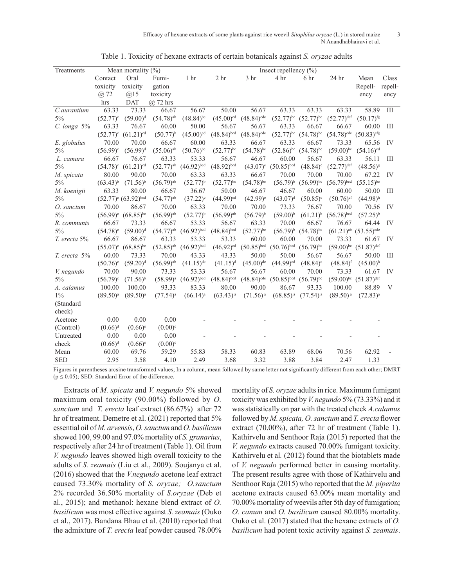Efficacy of hexane extracts of some plants against rice weevil *Sitophilus oryzae* (L.) in stored maize 3 N Anandhabhairavi et al.

| Treatments        |               | Mean mortality $(\%)$       |                         | Insect repellency $(\% )$ |                         |                          |                                |                               |                                 |                                                  |         |
|-------------------|---------------|-----------------------------|-------------------------|---------------------------|-------------------------|--------------------------|--------------------------------|-------------------------------|---------------------------------|--------------------------------------------------|---------|
|                   | Contact       | Oral                        | Fumi-                   | 1 <sub>hr</sub>           | 2 <sub>hr</sub>         | 3 <sub>hr</sub>          | 4 hr                           | 6 hr                          | 24 hr                           | Mean                                             | Class   |
|                   | toxicity      | toxicity                    | gation                  |                           |                         |                          |                                |                               |                                 | Repell-                                          | repell- |
|                   | @ 72          | $(a)$ 15                    | toxicity                |                           |                         |                          |                                |                               |                                 | ency                                             | ency    |
|                   | hrs           | <b>DAT</b>                  | $(a)$ 72 hrs            |                           |                         |                          |                                |                               |                                 |                                                  |         |
| C.aurantium       | 63.33         | 73.33                       | 66.67                   | 56.67                     | 50.00                   | 56.67                    | 63.33                          | 63.33                         | 63.33                           | 58.89                                            | Ш       |
| $5\%$             | $(52.77)^c$   | $(59.00)^d$                 | $(54.78)^{ab}$          | $(48.84)$ <sup>bc</sup>   | $(45.00)$ <sup>cd</sup> | $(48.84)$ <sup>cde</sup> |                                | $(52.77)^{bc}$ $(52.77)^{bc}$ | $(52.77)^{def}$                 | $(50.17)$ <sup>fg</sup>                          |         |
| C. longa 5%       | 63.33         | 76.67                       | 60.00                   | 50.00                     | 56.67                   | 56.67                    | 63.33                          | 66.67                         | 66.67                           | 60.00                                            | Ш       |
|                   | $(52.77)^c$   | $(61.21)^{cd}$              | $(50.77)^{b}$           | $(45.00)$ <sup>cd</sup>   | $(48.84)$ bcd           | $(48.84)$ <sup>cde</sup> | $(52.77)^{bc}$                 | $(54.78)^{bc}$                | $(54.78)^{cde}$ $(50.83)^{efg}$ |                                                  |         |
| E. globulus       | 70.00         | 70.00                       | 66.67                   | 60.00                     | 63.33                   | 66.67                    | 63.33                          | 66.67                         | 73.33                           | 65.56                                            | IV      |
| 5%                | $(56.99)^c$   | $(56.99)^{d}$               | $(55.06)^{ab}$          | $(50.76)$ <sup>bc</sup>   | $(52.77)$ <sup>bc</sup> | $(54.78)^{bc}$           | $(52.86)$ <sup>bc</sup>        | $(54.78)^{bc}$                | $(59.00)$ bc                    | $(54.16)^{cd}$                                   |         |
| L. camara         | 66.67         | 76.67                       | 63.33                   | 53.33                     | 56.67                   | 46.67                    | 60.00                          | 56.67                         | 63.33                           | 56.11                                            | Ш       |
| 5%                |               | $(54.78)^c$ $(61.21)^{cd}$  | $(52.77)$ <sup>ab</sup> | $(46.92)^{bcd}$           | $(48.92)$ bcd           | $(43.07)^e$              | $(50.85)$ bcd                  | $(48.84)$ <sup>c</sup>        | $(52.77)$ <sup>def</sup>        | $(48.56)^{8}$                                    |         |
| M. spicata        | 80.00         | 90.00                       | 70.00                   | 63.33                     | 63.33                   | 66.67                    | 70.00                          | 70.00                         | 70.00                           | 67.22                                            | IV      |
| 5%                | $(63.43)^{b}$ | $(71.56)^{b}$               | $(56.79)$ <sup>ab</sup> | $(52.77)^{b}$             | $(52.77)$ <sup>bc</sup> | $(54.78)^{bc}$           | $(56.79)^{b}$                  | $(56.99)^{bc}$                | $(56.79)^{bcd}$                 | $(55.15)^{bc}$                                   |         |
| M. koenigii       | 63.33         | 80.00                       | 66.67                   | 36.67                     | 50.00                   | 46.67                    | 46.67                          | 60.00                         | 60.00                           | 50.00                                            | Ш       |
| 5%                |               | $(52.77)^e$ $(63.92)^{bcd}$ | $(54.77)$ <sup>ab</sup> | $(37.22)^e$               | $(44.99)$ <sup>cd</sup> | $(42.99)$ <sup>e</sup>   | $(43.07)^{d}$                  | $(50.85)^c$                   | $(50.76)$ <sup>ef</sup>         | $(44.98)$ <sup>h</sup>                           |         |
| O. sanctum        | 70.00         | 86.67                       | 70.00                   | 63.33                     | 70.00                   | 70.00                    | 73.33                          | 76.67                         | 70.00                           | 70.56                                            | IV      |
| 5%                |               | $(56.99)^c$ $(68.85)^{bc}$  | $(56.99)$ <sup>ab</sup> | $(52.77)^{b}$             | $(56.99)$ <sup>ab</sup> | $(56.79)^{b}$            | $(59.00)^{b}$                  | $(61.21)^{b}$                 | $(56.78)^{bcd}$                 | $(57.25)^{b}$                                    |         |
| R. communis       | 66.67         | 73.33                       | 66.67                   | 53.33                     | 56.67                   | 63.33                    | 70.00                          | 66.67                         | 76.67                           | 64.44                                            | IV      |
| $5\%$             | $(54.78)^c$   | $(59.00)^d$                 | $(54.77)^{ab}$          | $(46.92)^{bcd}$           | $(48.84)$ bcd           | $(52.77)$ <sup>bc</sup>  | $(56.79)^{b}$                  | $(54.78)^{bc}$                |                                 | $(61.21)$ <sup>ab</sup> $(53.55)$ <sup>cde</sup> |         |
| T. erecta 5%      | 66.67         | 86.67                       | 63.33                   | 53.33                     | 53.33                   | 60.00                    | 60.00                          | 70.00                         | 73.33                           | 61.67                                            | IV      |
|                   | $(55.07)^c$   | $(68.85)$ <sup>bc</sup>     | $(52.85)$ <sup>ab</sup> | $(46.92)^{bcd}$           | $(46.92)^{cd}$          | $(50.85)$ bcd            | $(50.76)^{bcd}$                | $(56.79)^{bc}$                |                                 | $(59.00)^{bc}$ $(51.87)^{def}$                   |         |
| T. erecta 5%      | 60.00         | 73.33                       | 70.00                   | 43.33                     | 43.33                   | 50.00                    | 50.00                          | 56.67                         | 56.67                           | 50.00                                            | Ш       |
|                   | $(50.76)^c$   | $(59.20)^d$                 | $(56.99)$ <sup>ab</sup> | $(41.15)$ <sup>de</sup>   | $(41.15)^d$             | $(45.00)$ <sup>de</sup>  | $(44.99)$ <sup>cd</sup>        | $(48.84)$ <sup>c</sup>        | $(48.84)$ <sup>f</sup>          | $(45.00)$ <sup>h</sup>                           |         |
| <i>V.</i> negundo | 70.00         | 90.00                       | 73.33                   | 53.33                     | 56.67                   | 56.67                    | 60.00                          | 70.00                         | 73.33                           | 61.67                                            | IV      |
| $5\%$             | $(56.79)^c$   | $(71.56)^{b}$               | $(58.99)^{a}$           | $(46.92)^{bcd}$           | $(48.84)$ bcd           | $(48.84)^{cde}$          | $(50.85)^{bcd}$ $(56.79)^{bc}$ |                               |                                 | $(59.00)^{bc}$ $(51.87)^{def}$                   |         |
| A. calamus        | 100.00        | 100.00                      | 93.33                   | 83.33                     | 80.00                   | 90.00                    | 86.67                          | 93.33                         | 100.00                          | 88.89                                            | V       |
| $1\%$             | $(89.50)^{a}$ | $(89.50)^{a}$               | $(77.54)^{a}$           | $(66.14)$ <sup>a</sup>    | $(63.43)^{a}$           | $(71.56)$ <sup>a</sup>   | $(68.85)^{a}$                  | $(77.54)^{a}$                 | $(89.50)^{a}$                   | $(72.83)^{a}$                                    |         |
| (Standard         |               |                             |                         |                           |                         |                          |                                |                               |                                 |                                                  |         |
| check)            |               |                             |                         |                           |                         |                          |                                |                               |                                 |                                                  |         |
| Acetone           | 0.00          | 0.00                        | 0.00                    |                           |                         |                          |                                |                               |                                 |                                                  |         |
| (Control)         | $(0.66)^d$    | $(0.66)^{e}$                | $(0.00)^{c}$            |                           |                         |                          |                                |                               |                                 |                                                  |         |
| Untreated         | $0.00\,$      | 0.00                        | 0.00                    |                           |                         |                          |                                |                               |                                 |                                                  |         |
| check             | $(0.66)^d$    | $(0.66)$ <sup>e</sup>       | $(0.00)^c$              |                           |                         |                          |                                |                               |                                 |                                                  |         |
| Mean              | 60.00         | 69.76                       | 59.29                   | 55.83                     | 58.33                   | 60.83                    | 63.89                          | 68.06                         | 70.56                           | 62.92                                            |         |
| <b>SED</b>        | 2.95          | 3.58                        | 4.10                    | 2.49                      | 3.68                    | 3.32                     | 3.88                           | 3.84                          | 2.47                            | 1.33                                             |         |

Table 1. Toxicity of hexane extracts of certain botanicals against *S. oryzae* adults

Figures in parentheses arcsine transformed values; In a column, mean followed by same letter not significantly different from each other; DMRT ( $p \le 0.05$ ); SED: Standard Error of the difference.

Extracts of *M. spicata* and *V. negundo* 5% showed maximum oral toxicity (90.00%) followed by *O. sanctum* and *T. erecta* leaf extract (86.67%) after 72 hr of treatment. Demetre et al. (2021) reported that 5% essential oil of *M. arvensis*, *O. sanctum* and *O. basilicum*  showed 100, 99.00 and 97.0% mortality of *S. granarius*, respectively after 24 hr of treatment (Table 1). Oil from *V. negundo* leaves showed high overall toxicity to the adults of *S. zeamais* (Liu et al., 2009). Soujanya et al. (2016) showed that the *V.negundo* acetone leaf extract caused 73.30% mortality of *S. oryzae; O.sanctum* 2% recorded 36.50% mortality of *S.oryzae* (Deb et al., 2015); and methanol: hexane blend extract of *O. basilicum* was most effective against *S. zeamais* (Ouko et al., 2017). Bandana Bhau et al. (2010) reported that the admixture of *T. erecta* leaf powder caused 78.00%

mortality of *S. oryzae* adults in rice. Maximum fumigant toxicity was exhibited by *V. negundo* 5% (73.33%) and it was statistically on par with the treated check *A.calamus*  followed by *M. spicata, O. sanctum* and *T. erecta* flower extract (70.00%), after 72 hr of treatment (Table 1). Kathirvelu and Senthoor Raja (2015) reported that the *V. negundo* extracts caused 70.00% fumigant toxicity. Kathirvelu et al*.* (2012) found that the biotablets made of *V. negundo* performed better in causing mortality. The present results agree with those of Kathirvelu and Senthoor Raja (2015) who reported that the *M. piperita* acetone extracts caused 63.00% mean mortality and 70.00% mortality of weevils after 5th day of fumigation; *O. canum* and *O. basilicum* caused 80.00% mortality. Ouko et al. (2017) stated that the hexane extracts of *O. basilicum* had potent toxic activity against *S. zeamais*.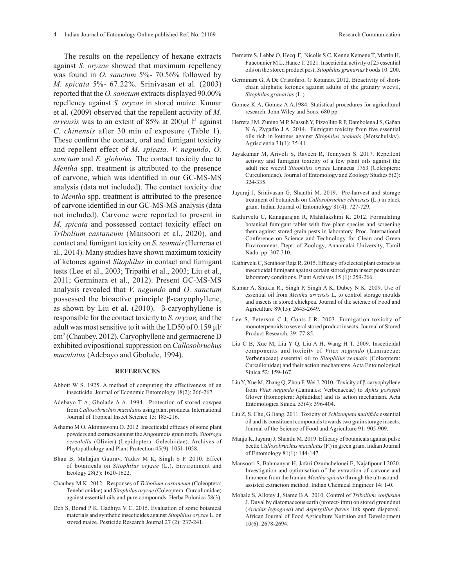The results on the repellency of hexane extracts against *S. oryzae* showed that maximum repellency was found in *O. sanctum* 5%- 70.56% followed by *M. spicata* 5%- 67.22%*.* Srinivasan et al*.* (2003) reported that the *O. sanctum* extracts displayed 90.00% repellency against *S. oryzae* in stored maize. Kumar et al. (2009) observed that the repellent activity of *M. arvensis* was to an extent of  $85\%$  at  $200\mu$ l l<sup>-1</sup> against *C. chinensis* after 30 min of exposure (Table 1). These confirm the contact, oral and fumigant toxicity and repellent effect of *M. spicata, V. negundo*, *O. sanctum* and *E. globulus.* The contact toxicity due to *Mentha* spp. treatment is attributed to the presence of carvone, which was identified in our GC-MS-MS analysis (data not included). The contact toxicity due to *Mentha* spp. treatment is attributed to the presence of carvone identified in our GC-MS-MS analysis (data not included). Carvone were reported to present in *M. spicata* and possessed contact toxicity effect on *Tribolium castaneum* (Mansoori et al., 2020)*,* and contact and fumigant toxicity on *S. zeamais* (Herreraa et al., 2014). Many studies have shown maximum toxicity of ketones against *Sitophilus* in contact and fumigant tests (Lee et al., 2003; Tripathi et al., 2003; Liu et al., 2011; Germinara et al., 2012). Present GC-MS-MS analysis revealed that *V. negundo* and *O. sanctum*  possessed the bioactive principle β-caryophyllene, as shown by Liu et al. (2010). β-caryophyllene is responsible for the contact toxicity to *S. oryzae,* and the adult was most sensitive to it with the LD50 of 0.159 µl/ cm2 (Chaubey, 2012). Caryophyllene and germacrene D exhibited ovipositional suppression on *Callosobruchus maculatus* (Adebayo and Gbolade, 1994).

#### **REFERENCES**

- Abbott W S. 1925. A method of computing the effectiveness of an insecticide. Journal of Economic Entomology 18(2): 266-267.
- Adebayo T A, Gbolade A A. 1994. Protection of stored cowpea from *Callosobruchus maculatus* using plant products. International Journal of Tropical Insect Science 15: 185-216.
- Ashamo M O, Akinnawonu O. 2012. Insecticidal efficacy of some plant powders and extracts against the Angoumois grain moth, *Sitotroga cerealella* (Olivier) (Lepidoptera: Gelechiidae). Archives of Phytopathology and Plant Protection 45(9): 1051-1058.
- Bhau B, Mahajan Gaurav, Yadav M K, Singh S P. 2010. Effect of botanicals on *Sitophilus oryzae* (L.). Environment and Ecology 28(3): 1620-1622.
- Chaubey M K. 2012. Responses of *Tribolium castaneum* (Coleoptera: Tenebrionidae) and *Sitophilus oryzae* (Coleoptera: Curculionidae) against essential oils and pure compounds. Herba Polonica 58(3).
- Deb S, Borad P K, Gadhiya V C. 2015. Evaluation of some botanical materials and synthetic insecticides against *Sitophilus oryzae* L. on stored maize. Pesticide Research Journal 27 (2): 237-241.
- Demetre S, Lebbe O, Hecq F, Nicolis S C, Kenne Kemene T, Martin H, Fauconnier M L, Hance T. 2021. Insecticidal activity of 25 essential oils on the stored product pest, *Sitophilus granarius* Foods 10: 200.
- Germinara G, A De Cristofaro, G Rotundo. 2012. Bioactivity of shortchain aliphatic ketones against adults of the granary weevil, *Sitophilus granarius* (L.)
- Gomez K A, Gomez A A.1984. Statistical procedures for agricultural research. John Wiley and Sons. 680 pp.
- Herrera J M, Zunino M P, Massuh Y, Pizzollito R P, Dambolena J S, Gañan N A, Zygadlo J A. 2014. Fumigant toxicity from five essential oils rich in ketones against *Sitophilus zeamais* (Motschulsky). Agriscientia 31(1): 35-41
- Jayakumar M, Arivoli S, Raveen R, Tennyson S. 2017. Repellent activity and fumigant toxicity of a few plant oils against the adult rice weevil *Sitophilus oryzae* Linnaeus 1763 (Coleoptera: Curculionidae). Journal of Entomology and Zoology Studies 5(2): 324-335.
- Jayaraj J, Srinivasan G, Shanthi M. 2019. Pre-harvest and storage treatment of botanicals on *Callosobruchus chinensis* (L.) in black gram. Indian Journal of Entomology 81(4): 727-729.
- Kathirvelu C, Kanagarajan R, Mahalakshmi K. 2012. Formulating botanical fumigant tablet with five plant species and screening them against stored grain pests in laboratory. Proc. International Conference on Science and Technology for Clean and Green Environment, Dept. of Zoology, Annamalai University, Tamil Nadu. pp. 307-310.
- Kathirvelu C, Senthoor Raja R. 2015. Efficacy of selected plant extracts as insecticidal fumigant against certain stored grain insect pests under laboratory conditions. Plant Archives 15 (1): 259-266.
- Kumar A, Shukla R., Singh P, Singh A K, Dubey N K. 2009. Use of essential oil from *Mentha arvensis* L, to control storage moulds and insects in stored chickpea. Journal of the science of Food and Agriculture 89(15): 2643-2649.
- Lee S, Peterson C J, Coats J R. 2003. Fumigation toxicity of monoterpenoids to several stored product insects.Journal of Stored Product Research*.* 39: 77-85.
- Liu C B, Xue M, Liu Y Q, Liu A H, Wang H T. 2009. Insecticidal components and toxicitv of *Vitex negundo* (Lamiaceae: Verbenaceae) essential oil to *Sitophilus zeamais* (Coleoptera: Curculionidae) and their action mechanisms. Acta Entomological Sinica 52: 159-167.
- Liu Y, Xue M, Zhang Q, Zhou F, Wei J. 2010. Toxicity of β-caryophyllene from *Vitex negundo* (Lamiales: Verbenaceae) to *Aphis gossypii* Glover (Homoptera: Aphididae) and its action mechanism. Acta Entomologica Sinica. 53(4): 396-404.
- Liu Z, S. Chu, G Jiang. 2011. Toxicity of *Schizonpeta multifida* essential oil and its constituent compounds towards two grain storage insects. Journal of the Science of Food and Agriculture 91: 905-909.
- Manju K, Jayaraj J, Shanthi M. 2019. Efficacy of botanicals against pulse beetle *Callosobruchus maculatus* (F.) in green gram. Indian Journal of Entomology 81(1): 144-147.
- Mansoori S, Bahmanyar H, Jafari Ozumchelouei E, Najafipour I.2020. Investigation and optimisation of the extraction of carvone and limonene from the Iranian *Mentha spicata* through the ultrasoundassisted extraction method. Indian Chemical Engineer 14: 1-0.
- Mohale S, Allotey J, Siame B A. 2010. Control of *Tribolium confusum* J. Duval by diatomaceous earth (protect- ittm) on stored groundnut (*Arachis hypogaea*) and *Aspergillus flavus* link spore dispersal. African Journal of Food Agriculture Nutrition and Development 10(6): 2678-2694.